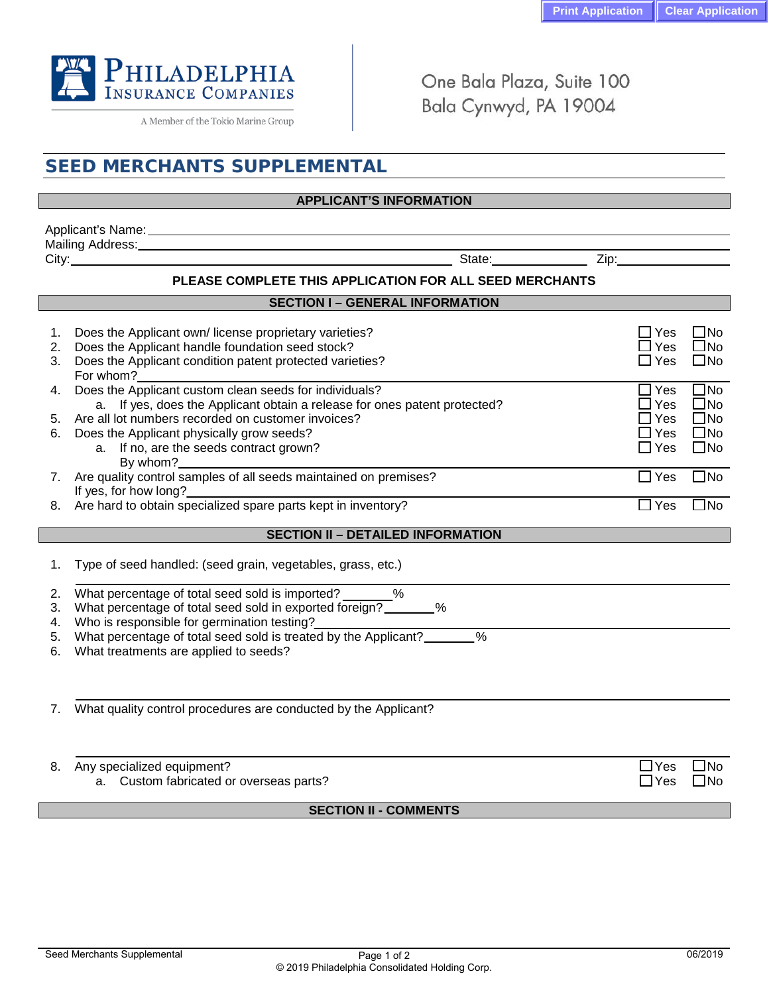

A Member of the Tokio Marine Group

One Bala Plaza, Suite 100 Bala Cynwyd, PA 19004

# **SEED MERCHANTS SUPPLEMENTAL APPLICANT'S INFORMATION** Applicant's Name: 1988 Mailing Address: City: State: Zip: **PLEASE COMPLETE THIS APPLICATION FOR ALL SEED MERCHANTS SECTION I – GENERAL INFORMATION** 1. Does the Applicant own/ license proprietary varieties?  $\Box$  Yes  $\Box$  Yes  $\Box$  No  $\Box$  Yes  $\Box$  No  $\Box$  Yes  $\Box$  No 2. Does the Applicant handle foundation seed stock?<br>3. Does the Applicant condition patent protected varieties?  $\square$  Yes  $\square$  Yes  $\square$  No 3. Does the Applicant condition patent protected varieties? For whom? 4. Does the Applicant custom clean seeds for individuals?<br>
a lf ves, does the Applicant obtain a release for ones patent protected? <br>  $\square$  Yes  $\square$  No a. If yes, does the Applicant obtain a release for ones patent protected? 5. Are all lot numbers recorded on customer invoices?  $\Box$  Yes  $\Box$  Yes  $\Box$  Yes  $\Box$  No  $\Box$  Yes  $\Box$  No  $\Box$  Yes  $\Box$  No  $\Box$  Yes  $\Box$  No  $\Box$ 6. Does the Applicant physically grow seeds?<br>
a yes not are the seeds contract grown? a. If no, are the seeds contract grown? By whom? 7. Are quality control samples of all seeds maintained on premises?  $\square$  Yes  $\square$  Yes  $\square$  No If yes, for how long? 8. Are hard to obtain specialized spare parts kept in inventory?  $\square$  Yes  $\square$  Yes  $\square$  No **SECTION II – DETAILED INFORMATION** 1. Type of seed handled: (seed grain, vegetables, grass, etc.) 2. What percentage of total seed sold is imported?  $\%$ 3. What percentage of total seed sold in exported foreign? 4. Who is responsible for germination testing? 5. What percentage of total seed sold is treated by the Applicant?\_\_\_\_\_\_\_% 6. What treatments are applied to seeds? 7. What quality control procedures are conducted by the Applicant? 8. Any specialized equipment?<br>
a. Custom fabricated or overseas parts?<br>
a. Custom fabricated or overseas parts? a. Custom fabricated or overseas parts?  $\Box$  Yes  $\Box$  No

## **SECTION II - COMMENTS**